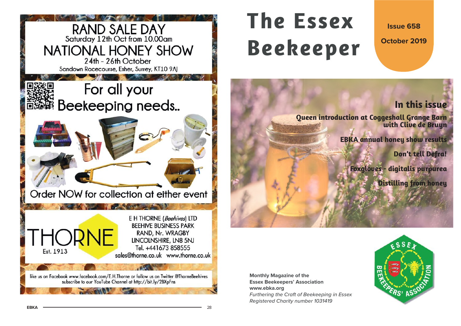

# **The EssexBeekeeper**

**Issue 658**

**October 2019**

# **In this issue**

**Queen introduction at Coggeshall Grange Barn with Clive de Bruyn**

**EBKA annual honey show results**

**Don't tell Defra!**

**Foxgloves - digitalis purpurea**

**Distilling from honey**

**Monthly Magazine of the Essex Beekeepers' Association www.ebka.org** Furthering the Craft of Beekeeping in Essex Registered Charity number 1031419

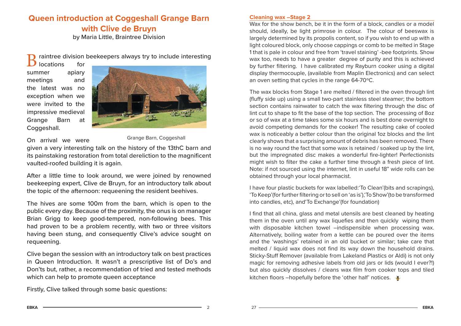# **Queen introduction at Coggeshall Grange Barn with Clive de Bruyn**

by Maria Little, Braintree Division

raintree division beekeepers always try to include interesting locations for

summer apiary meetings and the latest was no exception when we were invited to the impressive medieval Grange Barn at Coggeshall.



On arrival we were

Grange Barn, Coggeshall

given a very interesting talk on the history of the 13thC barn and its painstaking restoration from total dereliction to the magnificent vaulted-roofed building it is again.

After a little time to look around, we were joined by renowned beekeeping expert, Clive de Bruyn, for an introductory talk about the topic of the afternoon: requeening the resident beehives.

The hives are some 100m from the barn, which is open to the public every day. Because of the proximity, the onus is on manager Brian Grigg to keep good-tempered, non-following bees. This had proven to be a problem recently, with two or three visitors having been stung, and consequently Clive's advice sought on requeening.

Clive began the session with an introductory talk on best practices in Queen Introduction. It wasn't a prescriptive list of Do's and Don'ts but, rather, a recommendation of tried and tested methods which can help to promote queen acceptance

Firstly, Clive talked through some basic questions:

#### **Cleaning wax –Stage 2**

Wax for the show bench, be it in the form of a block, candles or a model should, ideally, be light primrose in colour. The colour of beeswax is largely determined by its propolis content, so if you wish to end up with a light coloured block, only choose cappings or comb to be melted in Stage 1 that is pale in colour and free from 'travel staining' -bee footprints. Show wax too, needs to have a greater degree of purity and this is achieved by further filtering. I have calibrated my Rayburn cooker using a digital display thermocouple, (available from Maplin Electronics) and can select an oven setting that cycles in the range 64-70ºC.

The wax blocks from Stage 1 are melted / filtered in the oven through lint (fluffy side up) using a small two-part stainless steel steamer; the bottom section contains rainwater to catch the wax filtering through the disc of lint cut to shape to fit the base of the top section. The processing of 8oz or so of wax at a time takes some six hours and is best done overnight to avoid competing demands for the cooker! The resulting cake of cooled wax is noticeably a better colour than the original 1oz blocks and the lint clearly shows that a surprising amount of debris has been removed. There is no way round the fact that some wax is retained / soaked up by the lint, but the impregnated disc makes a wonderful fire-lighter! Perfectionists might wish to filter the cake a further time through a fresh piece of lint. Note: if not sourced using the internet, lint in useful 18" wide rolls can be obtained through your local pharmacist.

I have four plastic buckets for wax labelled:'To Clean'(bits and scrapings), 'To Keep'(for further filtering or to sell on 'as is'),'To Show'(to be transformed into candles, etc), and'To Exchange'(for foundation)

I find that all china, glass and metal utensils are best cleaned by heating them in the oven until any wax liquefies and then quickly wiping them with disposable kitchen towel –indispensible when processing wax. Alternatively, boiling water from a kettle can be poured over the items and the 'washings' retained in an old bucket or similar; take care that melted / liquid wax does not find its way down the household drains. Sticky-Stuff Remover (available from Lakeland Plastics or Aldi) is not only magic for removing adhesive labels from old jars or lids (would I ever?!) but also quickly dissolves / cleans wax film from cooker tops and tiled kitchen floors –hopefully before the 'other half' notices.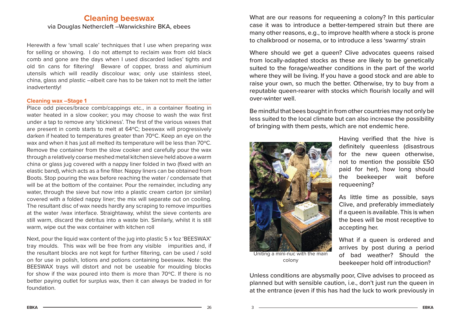## **Cleaning beeswax** via Douglas Nethercleft –Warwickshire BKA, ebees

Herewith a few 'small scale' techniques that I use when preparing wax for selling or showing. I do not attempt to reclaim wax from old black comb and gone are the days when I used discarded ladies' tights and old tin cans for filtering! Beware of copper, brass and aluminium utensils which will readily discolour wax; only use stainless steel, china, glass and plastic –albeit care has to be taken not to melt the latter inadvertently!

#### **Cleaning wax –Stage 1**

Place odd pieces/brace comb/cappings etc., in a container floating in water heated in a slow cooker; you may choose to wash the wax first under a tap to remove any 'stickiness'. The first of the various waxes that are present in comb starts to melt at 64ºC; beeswax will progressively darken if heated to temperatures greater than 70ºC. Keep an eye on the wax and when it has just all melted its temperature will be less than 70ºC. Remove the container from the slow cooker and carefully pour the wax through a relatively coarse meshed metal kitchen sieve held above a warm china or glass jug covered with a nappy liner folded in two (fixed with an elastic band), which acts as a fine filter. Nappy liners can be obtained from Boots. Stop pouring the wax before reaching the water / condensate that will be at the bottom of the container. Pour the remainder, including any water, through the sieve but now into a plastic cream carton (or similar) covered with a folded nappy liner; the mix will separate out on cooling. The resultant disc of wax needs hardly any scraping to remove impurities at the water /wax interface. Straightaway, whilst the sieve contents are still warm, discard the detritus into a waste bin. Similarly, whilst it is still warm, wipe out the wax container with kitchen roll

Next, pour the liquid wax content of the jug into plastic 5 x 1oz 'BEESWAX' tray moulds. This wax will be free from any visible impurities and, if the resultant blocks are not kept for further filtering, can be used / sold on for use in polish, lotions and potions containing beeswax. Note: the BEESWAX trays will distort and not be useable for moulding blocks for show if the wax poured into them is more than 70ºC. If there is no better paying outlet for surplus wax, then it can always be traded in for foundation.

What are our reasons for requeening a colony? In this particular case it was to introduce a better-tempered strain but there are many other reasons, e.g., to improve health where a stock is prone to chalkbrood or nosema, or to introduce a less 'swarmy' strain

Where should we get a queen? Clive advocates queens raised from locally-adapted stocks as these are likely to be genetically suited to the forage/weather conditions in the part of the world where they will be living. If you have a good stock and are able to raise your own, so much the better. Otherwise, try to buy from a reputable queen-rearer with stocks which flourish locally and will over-winter well.

Be mindful that bees bought in from other countries may not only be less suited to the local climate but can also increase the possibility of bringing with them pests, which are not endemic here.



colony

Having verified that the hive is definitely queenless (disastrous for the new queen otherwise, not to mention the possible £50 paid for her), how long should the beekeeper wait before requeening?

As little time as possible, says Clive, and preferably immediately if a queen is available. This is when the bees will be most receptive to accepting her.

What if a queen is ordered and arrives by post during a period of bad weather? Should the beekeeper hold off introduction?

Unless conditions are abysmally poor, Clive advises to proceed as planned but with sensible caution, i.e., don't just run the queen in at the entrance (even if this has had the luck to work previously in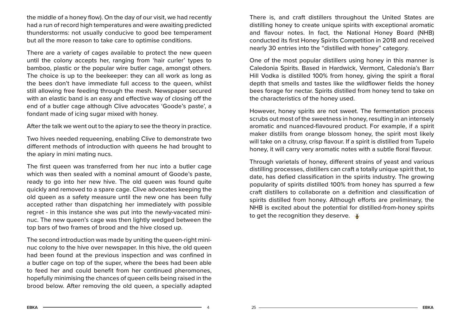the middle of a honey flow). On the day of our visit, we had recently had a run of record high temperatures and were awaiting predicted thunderstorms: not usually conducive to good bee temperament but all the more reason to take care to optimise conditions.

There are a variety of cages available to protect the new queen until the colony accepts her, ranging from 'hair curler' types to bamboo, plastic or the popular wire butler cage, amongst others. The choice is up to the beekeeper: they can all work as long as the bees don't have immediate full access to the queen, whilst still allowing free feeding through the mesh. Newspaper secured with an elastic band is an easy and effective way of closing off the end of a butler cage although Clive advocates 'Goode's paste', a fondant made of icing sugar mixed with honey.

After the talk we went out to the apiary to see the theory in practice.

Two hives needed requeening, enabling Clive to demonstrate two different methods of introduction with queens he had brought to the apiary in mini mating nucs.

The first queen was transferred from her nuc into a butler cage which was then sealed with a nominal amount of Goode's paste, ready to go into her new hive. The old queen was found quite quickly and removed to a spare cage. Clive advocates keeping the old queen as a safety measure until the new one has been fully accepted rather than dispatching her immediately with possible regret - in this instance she was put into the newly-vacated mininuc. The new queen's cage was then lightly wedged between the top bars of two frames of brood and the hive closed up.

The second introduction was made by uniting the queen-right mininuc colony to the hive over newspaper. In this hive, the old queen had been found at the previous inspection and was confined in a butler cage on top of the super, where the bees had been able to feed her and could benefit from her continued pheromones, hopefully minimising the chances of queen cells being raised in the brood below. After removing the old queen, a specially adapted

There is, and craft distillers throughout the United States are distilling honey to create unique spirits with exceptional aromatic and flavour notes. In fact, the National Honey Board (NHB) conducted its first Honey Spirits Competition in 2018 and received nearly 30 entries into the "distilled with honey" category.

One of the most popular distillers using honey in this manner is Caledonia Spirits. Based in Hardwick, Vermont, Caledonia's Barr Hill Vodka is distilled 100% from honey, giving the spirit a floral depth that smells and tastes like the wildflower fields the honey bees forage for nectar. Spirits distilled from honey tend to take on the characteristics of the honey used.

However, honey spirits are not sweet. The fermentation process scrubs out most of the sweetness in honey, resulting in an intensely aromatic and nuanced-flavoured product. For example, if a spirit maker distills from orange blossom honey, the spirit most likely will take on a citrusy, crisp flavour. If a spirit is distilled from Tupelo honey, it will carry very aromatic notes with a subtle floral flavour.

Through varietals of honey, different strains of yeast and various distilling processes, distillers can craft a totally unique spirit that, to date, has defied classification in the spirits industry. The growing popularity of spirits distilled 100% from honey has spurred a few craft distillers to collaborate on a definition and classification of spirits distilled from honey. Although efforts are preliminary, the NHB is excited about the potential for distilled-from-honey spirits to get the recognition they deserve.  $\frac{3}{2}$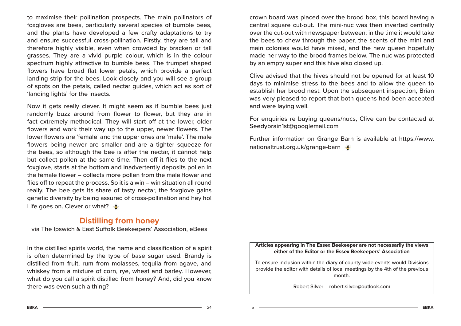to maximise their pollination prospects. The main pollinators of foxgloves are bees, particularly several species of bumble bees, and the plants have developed a few crafty adaptations to try and ensure successful cross-pollination. Firstly, they are tall and therefore highly visible, even when crowded by bracken or tall grasses. They are a vivid purple colour, which is in the colour spectrum highly attractive to bumble bees. The trumpet shaped flowers have broad flat lower petals, which provide a perfect landing strip for the bees. Look closely and you will see a group of spots on the petals, called nectar guides, which act as sort of 'landing lights' for the insects.

Now it gets really clever. It might seem as if bumble bees just randomly buzz around from flower to flower, but they are in fact extremely methodical. They will start off at the lower, older flowers and work their way up to the upper, newer flowers. The lower flowers are 'female' and the upper ones are 'male'. The male flowers being newer are smaller and are a tighter squeeze for the bees, so although the bee is after the nectar, it cannot help but collect pollen at the same time. Then off it flies to the next foxglove, starts at the bottom and inadvertently deposits pollen in the female flower – collects more pollen from the male flower and flies off to repeat the process. So it is a win – win situation all round really. The bee gets its share of tasty nectar, the foxglove gains genetic diversity by being assured of cross-pollination and hey ho! Life goes on. Clever or what?

## **Distilling from honey**

via The Ipswich & East Suffolk Beekeepers' Association, eBees

In the distilled spirits world, the name and classification of a spirit is often determined by the type of base sugar used. Brandy is distilled from fruit, rum from molasses, tequila from agave, and whiskey from a mixture of corn, rye, wheat and barley. However, what do you call a spirit distilled from honey? And, did you know there was even such a thing?

crown board was placed over the brood box, this board having a central square cut-out. The mini-nuc was then inverted centrally over the cut-out with newspaper between: in the time it would take the bees to chew through the paper, the scents of the mini and main colonies would have mixed, and the new queen hopefully made her way to the brood frames below. The nuc was protected by an empty super and this hive also closed up.

Clive advised that the hives should not be opened for at least 10 days to minimise stress to the bees and to allow the queen to establish her brood nest. Upon the subsequent inspection, Brian was very pleased to report that both queens had been accepted and were laying well.

For enquiries re buying queens/nucs, Clive can be contacted at Seedybrain1st@googlemail.com

Further information on Grange Barn is available at https://www. nationaltrust.org.uk/grange-barn

#### **Articles appearing in The Essex Beekeeper are not necessarily the views either of the Editor or the Essex Beekeepers' Association**

To ensure inclusion within the diary of county-wide events would Divisions provide the editor with details of local meetings by the 4th of the previous month.

Robert Silver – robert.silver@outlook.com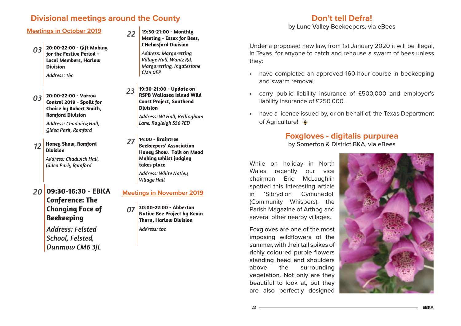## **Divisional meetings around the County**

#### **Meetings in October 2019**

- *03* **20:00-22:00 - Gift Making for the Festive Period - Local Members, Harlow Division***Address: tbc*
- *03* **20:00-22:00 - Varroa Control 2019 - Spoilt for Choice by Robert Smith, Romford Division**

*Address: Chadwick Hall, Gidea Park, Romford*

*12***Honey Show, Romford Division**

> *Address: Chadwick Hall, Gidea Park, Romford*

*20* **09:30-16:30 - EBKA Conference: The Changing Face of Beekeeping**

> *Address: Felsted School, Felsted, Dunmow CM6 3JL*

*22* **19:30-21:00 - Monthly Meeting - Essex for Bees, CHelmsford Division**

> *Address: Margaretting Village Hall, Wantz Rd, Margaretting, Ingatestone CM4 0EP*

*23* **19:30-21:00 - Update on RSPB Wallasea Island Wild Coast Project, Southend Division**

> *Address: WI Hall, Bellingham Lane, Rayleigh SS6 7ED*

*27* **14:00 - Braintree Beekeepers' Association Honey Show. Talk on Mead Making whilst judging takes place**

> *Address: White Notley Village Hall*

### **Meetings in November 2019**

*07* **20:00-22:00 - Abberton Native Bee Project by Kevin Thorn, Harlow Division** *Address: tbc*

## **Don't tell Defra!**

by Lune Valley Beekeepers, via eBees

Under a proposed new law, from 1st January 2020 it will be illegal, in Texas, for anyone to catch and rehouse a swarm of bees unless they:

- have completed an approved 160-hour course in beekeeping and swarm removal.
- carry public liability insurance of £500,000 and employer's liability insurance of £250,000.
- have a licence issued by, or on behalf of, the Texas Department of Agriculture!

## **Foxgloves - digitalis purpurea** by Somerton & District BKA, via eBees

While on holiday in North Wales recently our vice chairman Eric McLaughlin spotted this interesting article in 'Sibrydion Cymunedol' (Community Whispers), the Parish Magazine of Arthog and several other nearby villages.

Foxgloves are one of the most imposing wildflowers of the summer, with their tall spikes of richly coloured purple flowers standing head and shoulders above the surrounding vegetation. Not only are they beautiful to look at, but they are also perfectly designed

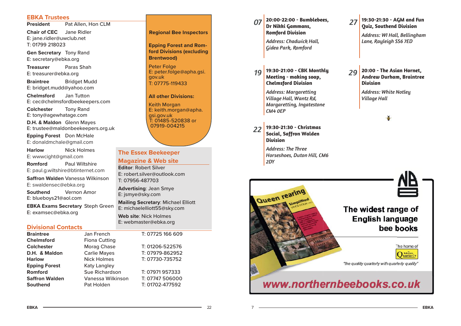#### **EBKA Trustees**

**President**Pat Allen, Hon CLM

**Chair of CEC** Jane Ridler E: jane.ridler@uwclub.net T: 01799 218023

**Gen Secretary** Tony Rand E: secretary@ebka.org

**Treasurer** Paras ShahE: treasurer@ebka.org

**Braintree** Bridget Mudd E: bridget.mudd@yahoo.com

**Chelmsford** Jan Tutton E: cec@chelmsfordbeekeepers.com

**Colchester** Tony Rand E: tony@agewhatage.com

**D.H. & Maldon** Glenn Mayes E: trustee@maldonbeekeepers.org.uk

**Epping Forest** Don McHale E: donaldmchale@gmail.com

**Harlow** Nick Holmes E: wwwcight@gmail.com **Romford**Paul Wiltshire

E: paul.g.wiltshire@btinternet.com **Saff ron Walden** Vanessa Wilkinson

E: swaldensec@ebka.org **Southend**Vernon Amor

E: blueboys21@aol.com

**EBKA Exams Secretary** Steph Green E: examsec@ebka.org

#### **Divisional Contacts**

| <b>Braintree</b>      | Jan French            | T: 07725 166 609 |
|-----------------------|-----------------------|------------------|
| <b>Chelmsford</b>     | <b>Fiona Cutting</b>  |                  |
| <b>Colchester</b>     | Morag Chase           | T: 01206-522576  |
| D.H. & Maldon         | <b>Carlie Mayes</b>   | T: 07979-862952  |
| <b>Harlow</b>         | <b>Nick Holmes</b>    | T: 07730-735752  |
| <b>Epping Forest</b>  | <b>Katy Langley</b>   |                  |
| Romford               | <b>Sue Richardson</b> | T: 07971957333   |
| <b>Saffron Walden</b> | Vanessa Wilkinson     | T: 07747 506000  |
| <b>Southend</b>       | Pat Holden            | T: 01702-477592  |

**Regional Bee Inspectors**

**Epping Forest and Romford Divisions (excluding Brentwood)**

Peter Folge E: peter.folge@apha.gsi. gov.uk T: 07775-119433

**All other Divisions:**

Keith Morgan E: keith.morgan@apha. gsi.gov.uk T: 01485-520838 or 07919-004215

#### **The Essex Beekeeper**

#### **Magazine & Web site**

**Editor**: Robert SilverE: robert.silver@outlook.comT: 07956-487703

**Advertising**: Jean Smye E: jsmye@sky.com

**Mailing Secretary**: Michael Elliott E: michaelelliott55@sky.com

**Web site**: Nick HolmesE: webmaster@ebka.org

| 07 20:00-22:00 - Bumblebees, |  |  |  |  |
|------------------------------|--|--|--|--|
| Dr Nikki Gammans,            |  |  |  |  |
| Romford Division             |  |  |  |  |

*Address: Chadwick Hall, Gidea Park, Romford*

*19* **19:30-21:00 - CBK Monthly Meeting - making soap, Chelmsford Division**

> *Address: Margaretting Village Hall, Wantz Rd, Margaretting, Ingatestone CM4 0EP*

*22* **19:30-21:30 - Christmas Social, Saffron Walden Division**

> *Address: The Three Horseshoes, Duton Hill, CM6 2DY*



*Address: WI Hall, Bellingham Lane, Rayleigh SS6 7ED*

#### *29* **20:00 - The Asian Hornet, Andrew Durham, Braintree Division**

*Address: White Notley Village Hall*

š

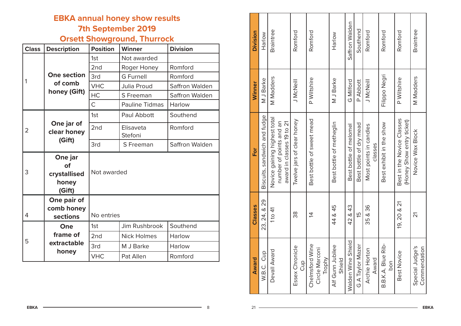# **EBKA annual honey show results 7th September 2019**

# **Orsett Showground, Thurrock**

| <b>Class</b>   | <b>Description</b>                               | <b>Position</b> | <b>Winner</b>         | <b>Division</b>       |  |
|----------------|--------------------------------------------------|-----------------|-----------------------|-----------------------|--|
|                |                                                  | 1st             | Not awarded           |                       |  |
|                |                                                  | 2nd             | Roger Honey           | Romford               |  |
| 1              | <b>One section</b><br>of comb<br>honey (Gift)    | 3rd             | <b>G</b> Furnell      | Romford               |  |
|                |                                                  | <b>VHC</b>      | Julia Proud           | Saffron Walden        |  |
|                |                                                  | <b>HC</b>       | S Freeman             | <b>Saffron Walden</b> |  |
|                |                                                  | Ċ               | <b>Pauline Tidmas</b> | Harlow                |  |
| $\overline{2}$ | One jar of<br>clear honey<br>(Gift)              | 1st             | Paul Abbott           | Southend              |  |
|                |                                                  | 2 <sub>nd</sub> | Elisaveta<br>Stefoni  | Romford               |  |
|                |                                                  | 3rd             | S Freeman             | Saffron Walden        |  |
| 3              | One jar<br>of<br>crystallised<br>honey<br>(Gift) | Not awarded     |                       |                       |  |
| 4              | One pair of<br>comb honey<br>sections            | No entries      |                       |                       |  |
|                | One                                              | 1st             | Jim Rushbrook         | Southend              |  |
|                | frame of                                         | 2nd             | <b>Nick Holmes</b>    | Harlow                |  |
| 5              | extractable                                      | 3rd             | M J Barke             | Harlow                |  |
|                | honey                                            | <b>VHC</b>      | Pat Allen             | Romford               |  |

| Division     | Harlow                       | Braintree                                                                            | Romford                    | Romford                                     | Harlow                     | Saffron Walden         | Southend                | Romford                           | Romford                   | Romford                                                 | Braintree                       |
|--------------|------------------------------|--------------------------------------------------------------------------------------|----------------------------|---------------------------------------------|----------------------------|------------------------|-------------------------|-----------------------------------|---------------------------|---------------------------------------------------------|---------------------------------|
|              |                              |                                                                                      |                            |                                             |                            |                        |                         |                                   |                           |                                                         |                                 |
| Winner       | M J Barke                    | <b>M</b> Madders                                                                     | J McNeill                  | P Wiltshire                                 | M J Barke                  | G Milford              | P Abbott                | J McNeill                         | Filippo Negri             | P Wiltshire                                             | <b>M</b> Madders                |
| For          | Biscuits, sandwich and fudge | Novice gaining highest total<br>number of points and an<br>award in classes 19 to 21 | Twelve jars of clear honey | Best bottle of sweet mead                   | Best bottle of metheglin   | Best bottle of melomel | Best bottle of dry mead | Most points in candles<br>classes | Best exhibit in the show  | Best in the Novice Classes<br>(Honey Show entry ticket) | Novice Wax Block                |
| Classes      | 23, 24, & 29                 | 1 to $41$                                                                            | 38                         | $\tilde{4}$                                 | 44 & 45                    | 42 & 43                | 15                      | 35 & 36                           |                           | 19, 20 & 21                                             | 21                              |
| <b>Award</b> | W.B.C. Cup                   | Devall Award                                                                         | Essex Chronicle<br>Cup     | Chelmsford Wine<br>Circle Marconi<br>Trophy | Alf Gunn Jubilee<br>Shield | Walden Wine Shield     | G A Taylor Mazer        | Archie Horton<br>Award            | B.B.K.A. Blue Rib-<br>bon | Best Novice                                             | Special Judge's<br>Commendation |

A — 8

 $21 -$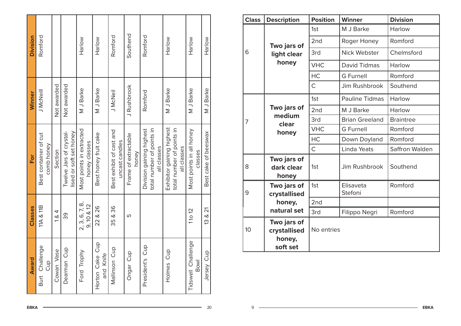| Award                        | Classes                         | For                                                                   | Winner      | Division |
|------------------------------|---------------------------------|-----------------------------------------------------------------------|-------------|----------|
| Burt Challenge<br>Cup        | 11A & 811B                      | Best container of cut<br>comb honey                                   | J McNeill   | Romford  |
| Cowan Vase                   | 1 & 4                           | Section                                                               | Not awarded |          |
| Dearman Cup                  | 39                              | Twelve Jars of crystal-<br>lised or soft set honey                    | Not awarded |          |
| Ford Trophy                  | 2, 3, 6, 7, 8,<br>$9,10$ & $12$ | Most points in extracted<br>honey classes                             | M J Barke   | Harlow   |
| Horton Cake Cup<br>and Knife | 22 & 26                         | Best honey fruit cake                                                 | M J Barke   | Harlow   |
| Mallinson Cup                | 35 & 36                         | Best exhibit of cast and<br>uncast candles                            | J McNeil    | Romford  |
| Ongar Cup                    | Γυ                              | Frame of extractable<br>honey                                         | J Rushbrook | Southend |
| President's Cup              |                                 | total number of points in<br>Division gaining highest<br>all classes  | Romford     | Romford  |
| Holmes <sub>Cup</sub>        |                                 | Exhibitor gaining highest<br>total number of points in<br>all classes | M J Barke   | Harlow   |
| Tidswell Challenge<br>Bowl   | 1 to $12$                       | Most points in all honey<br>classes                                   | M J Barke   | Harlow   |
| Jersey Cup                   | 13 & 21                         | Best cake of beeswax                                                  | M J Barke   | Harlow   |

| <b>Class</b> | <b>Description</b>                                | <b>Position</b> | <b>Winner</b>         | <b>Division</b>  |
|--------------|---------------------------------------------------|-----------------|-----------------------|------------------|
|              |                                                   | 1st             | M J Barke             | Harlow           |
|              | Two jars of<br>light clear<br>honey               | 2 <sub>nd</sub> | Roger Honey           | Romford          |
| 6            |                                                   | 3rd             | Nick Webster          | Chelmsford       |
|              |                                                   | <b>VHC</b>      | <b>David Tidmas</b>   | Harlow           |
|              |                                                   | <b>HC</b>       | <b>G</b> Furnell      | Romford          |
|              |                                                   | C               | Jim Rushbrook         | Southend         |
|              |                                                   | 1st             | <b>Pauline Tidmas</b> | Harlow           |
| 7            | Two jars of                                       | 2 <sub>nd</sub> | M J Barke             | Harlow           |
|              | medium<br>clear<br>honey                          | 3rd             | <b>Brian Greeland</b> | <b>Braintree</b> |
|              |                                                   | <b>VHC</b>      | <b>G</b> Furnell      | Romford          |
|              |                                                   | <b>HC</b>       | Down Doyland          | Romford          |
|              |                                                   | $\overline{C}$  | Linda Yeats           | Saffron Walden   |
| 8            | Two jars of<br>dark clear<br>honey                | 1st             | Jim Rushbrook         | Southend         |
| 9            | Two jars of<br>crystallised                       | 1st             | Elisaveta<br>Stefoni  | Romford          |
|              | honey,                                            | 2nd             |                       |                  |
|              | natural set                                       | 3rd             | Filippo Negri         | Romford          |
| 10           | Two jars of<br>crystallised<br>honey,<br>soft set | No entries      |                       |                  |

 $\overline{A}$   $\overline{A}$   $\overline{A}$   $\overline{A}$   $\overline{A}$   $\overline{A}$   $\overline{A}$   $\overline{A}$   $\overline{A}$   $\overline{A}$   $\overline{A}$   $\overline{A}$   $\overline{A}$   $\overline{A}$   $\overline{A}$   $\overline{A}$   $\overline{A}$   $\overline{A}$   $\overline{A}$   $\overline{A}$   $\overline{A}$   $\overline{A}$   $\overline{A}$   $\overline{A}$   $\overline{$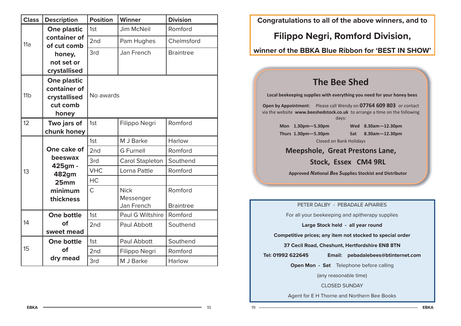| <b>Class</b>    | <b>Description</b>          | <b>Position</b> | <b>Winner</b>          | <b>Division</b>  |
|-----------------|-----------------------------|-----------------|------------------------|------------------|
|                 | <b>One plastic</b>          | 1st             | <b>Jim McNeil</b>      | Romford          |
| 11a             | container of<br>of cut comb | 2nd             | Pam Hughes             | Chelmsford       |
|                 | honey,                      | 3rd             | Jan French             | <b>Braintree</b> |
|                 | not set or                  |                 |                        |                  |
|                 | crystallised                |                 |                        |                  |
|                 | <b>One plastic</b>          |                 |                        |                  |
|                 | container of                |                 |                        |                  |
| 11 <sub>b</sub> | crystallised                | No awards       |                        |                  |
|                 | cut comb                    |                 |                        |                  |
|                 | honey                       |                 |                        |                  |
| 12              | Two jars of<br>chunk honey  | 1st             | Filippo Negri          | Romford          |
|                 |                             | 1st             | M J Barke              | Harlow           |
|                 | One cake of                 |                 |                        |                  |
|                 | beeswax                     | 2 <sub>nd</sub> | <b>G</b> Furnell       | Romford          |
|                 | 425gm -                     | 3rd             | <b>Carol Stapleton</b> | Southend         |
| 13              | 482gm                       | <b>VHC</b>      | Lorna Pattle           | Romford          |
|                 | 25 <sub>mm</sub>            | HC              |                        |                  |
|                 | minimum                     | $\mathsf{C}$    | <b>Nick</b>            | Romford          |
|                 | thickness                   |                 | Messenger              |                  |
|                 |                             |                 | Jan French             | <b>Braintree</b> |
|                 | <b>One bottle</b>           | 1st             | Paul G Wiltshire       | Romford          |
| 14              | of                          | 2 <sub>nd</sub> | Paul Abbott            | Southend         |
|                 | sweet mead                  |                 |                        |                  |
|                 | One bottle                  | 1st             | Paul Abbott            | Southend         |
| 15              | of                          | 2 <sub>nd</sub> | Filippo Negri          | Romford          |
|                 | dry mead                    | 3rd             | M J Barke              | Harlow           |

**Congratulations to all of the above winners, and to**

# **Filippo Negri, Romford Division,**

## **winner of the BBKA Blue Ribbon for 'BEST IN SHOW'**

# **The Bee Shed**

**Local beekeeping supplies with everything you need for your honey bees**

**Open by Appointment**: Please call Wendy on **07764 609 803** or contact via the website **www.beeshedstock.co.uk** to arrange a time on the following days:

> **Mon 1.30pm—5.30pm Wed 8.30am—12.30pm Thurs 1.30pm—5.30pm Sat 8.30am—12.30pm** Closed on Bank Holidays

**Meepshole, Great Prestons Lane,** 

## **Stock, Essex CM4 9RL**

**Approved** *N***aƟonal** *B***ee** *S***upplies Stockist and Distributor**

PETER DALBY - PEBADALE APIARIES

For all your beekeeping and apitherapy supplies

**Large Stock held - all year round**

**Competitive prices; any item not stocked to special order**

**37 Cecil Road, Cheshunt, Hertfordshire EN8 8TN**

19

**Tel: 01992 622645 Email: pebadalebees@btinternet.com**

**Open Mon - Sat** Telephone before calling

(any reasonable time)

CLOSED SUNDAY

Agent for E H Thorne and Northern Bee Books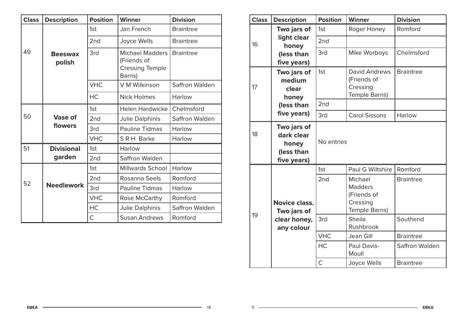| <b>Class</b> | <b>Description</b>       | <b>Position</b> | <b>Winner</b>                                                             | <b>Division</b>  |
|--------------|--------------------------|-----------------|---------------------------------------------------------------------------|------------------|
|              |                          | 1st             | Jan French                                                                | <b>Braintree</b> |
|              |                          | 2 <sub>nd</sub> | Joyce Wells                                                               | <b>Braintree</b> |
| 49           | <b>Beeswax</b><br>polish | 3rd             | <b>Michael Madders</b><br>(Friends of<br><b>Cressing Temple</b><br>Barns) | <b>Braintree</b> |
|              |                          | <b>VHC</b>      | V M Wilkinson                                                             | Saffron Walden   |
|              |                          | <b>HC</b>       | <b>Nick Holmes</b>                                                        | Harlow           |
|              |                          | 1st             | <b>Helen Hardwicke</b>                                                    | Chelmsford       |
| 50           | <b>Vase of</b>           | 2 <sub>nd</sub> | Julie Dalphinis                                                           | Saffron Walden   |
|              | flowers                  | 3rd             | <b>Pauline Tidmas</b>                                                     | Harlow           |
|              |                          | <b>VHC</b>      | SRH Barke                                                                 | Harlow           |
| 51           | <b>Divisional</b>        | 1st             | Harlow                                                                    |                  |
|              | garden                   | 2 <sub>nd</sub> | Saffron Walden                                                            |                  |
|              |                          | 1st             | <b>Millwards School</b>                                                   | Harlow           |
|              |                          | 2 <sub>nd</sub> | Rosanna Seels                                                             | Romford          |
| 52           | <b>Needlework</b>        | 3rd             | <b>Pauline Tidmas</b>                                                     | Harlow           |
|              |                          | <b>VHC</b>      | Rose McCarthy                                                             | Romford          |
|              |                          | <b>HC</b>       | Julie Dalphinis                                                           | Saffron Walden   |
|              |                          | $\mathsf{C}$    | <b>Susan Andrews</b>                                                      | Romford          |

| <b>Class</b> | <b>Description</b>                                              | <b>Position</b> | <b>Winner</b>                                                         | <b>Division</b>  |
|--------------|-----------------------------------------------------------------|-----------------|-----------------------------------------------------------------------|------------------|
|              | Two jars of                                                     | 1st             | Roger Honey                                                           | Romford          |
| 16           | light clear<br>honey                                            | 2nd             |                                                                       |                  |
|              | (less than<br>five years)                                       | 3rd             | Mike Worboys                                                          | Chelmsford       |
| 17           | Two jars of<br>medium<br>clear<br>honey                         | 1st             | <b>David Andrews</b><br>(Friends of<br>Cressing<br>Temple Barns)      | <b>Braintree</b> |
|              | (less than                                                      | 2nd             |                                                                       |                  |
|              | five years)                                                     | 3rd             | <b>Carol Sissons</b>                                                  | Harlow           |
| 18           | Two jars of<br>dark clear<br>honey<br>(less than<br>five years) | No entries      |                                                                       |                  |
|              |                                                                 | 1st             | Paul G Wiltshire                                                      | Romford          |
|              | <b>Novice class.</b><br>Two jars of                             | 2nd             | Michael<br><b>Madders</b><br>(Friends of<br>Cressing<br>Temple Barns) | <b>Braintree</b> |
| 19           | clear honey,<br>any colour                                      | 3rd             | Sheila<br>Rushbrook                                                   | Southend         |
|              |                                                                 | <b>VHC</b>      | Jean Gill                                                             | <b>Braintree</b> |
|              |                                                                 | HC              | Paul Davis-<br>Moull                                                  | Saffron Walden   |
|              |                                                                 | Ċ               | Joyce Wells                                                           | <b>Braintree</b> |

18

 $11 -$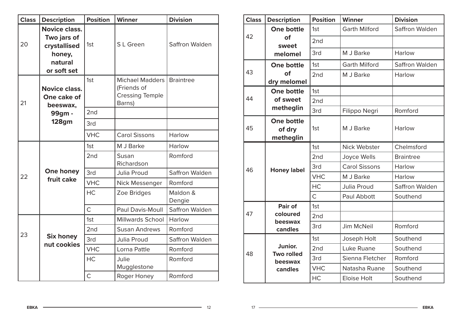| <b>Class</b> | <b>Description</b>                                                                      | <b>Position</b> | <b>Winner</b>                                                             | <b>Division</b>    |
|--------------|-----------------------------------------------------------------------------------------|-----------------|---------------------------------------------------------------------------|--------------------|
| 20           | <b>Novice class.</b><br>Two jars of<br>crystallised<br>honey,<br>natural<br>or soft set | 1st             | S L Green                                                                 | Saffron Walden     |
| 21           | <b>Novice class.</b><br>One cake of<br>beeswax,                                         | 1st             | <b>Michael Madders</b><br>(Friends of<br><b>Cressing Temple</b><br>Barns) | <b>Braintree</b>   |
|              | 99gm -                                                                                  | 2 <sub>nd</sub> |                                                                           |                    |
|              | <b>128gm</b>                                                                            | 3rd             |                                                                           |                    |
|              |                                                                                         | <b>VHC</b>      | <b>Carol Sissons</b>                                                      | Harlow             |
|              |                                                                                         | 1st             | M J Barke                                                                 | Harlow             |
|              | One honey<br>fruit cake                                                                 | 2nd             | Susan<br>Richardson                                                       | Romford            |
| 22           |                                                                                         | 3rd             | Julia Proud                                                               | Saffron Walden     |
|              |                                                                                         | <b>VHC</b>      | Nick Messenger                                                            | Romford            |
|              |                                                                                         | <b>HC</b>       | Zoe Bridges                                                               | Maldon &<br>Dengie |
|              |                                                                                         | $\overline{C}$  | Paul Davis-Moull                                                          | Saffron Walden     |
|              |                                                                                         | 1st             | <b>Millwards School</b>                                                   | Harlow             |
|              |                                                                                         | 2 <sub>nd</sub> | <b>Susan Andrews</b>                                                      | Romford            |
| 23           | <b>Six honey</b><br>nut cookies                                                         | 3rd             | Julia Proud                                                               | Saffron Walden     |
|              |                                                                                         | <b>VHC</b>      | Lorna Pattle                                                              | Romford            |
|              |                                                                                         | HC              | Julie<br>Mugglestone                                                      | Romford            |
|              |                                                                                         | $\overline{C}$  | Roger Honey                                                               | Romford            |

| <b>Class</b> | <b>Description</b>                       | <b>Position</b> | <b>Winner</b>        | <b>Division</b>  |
|--------------|------------------------------------------|-----------------|----------------------|------------------|
|              | <b>One bottle</b>                        | 1st             | <b>Garth Milford</b> | Saffron Walden   |
| 42           | of<br>sweet                              | 2 <sub>nd</sub> |                      |                  |
|              | melomel                                  | 3rd             | M J Barke            | Harlow           |
|              | <b>One bottle</b>                        | 1st             | <b>Garth Milford</b> | Saffron Walden   |
| 43           | of<br>dry melomel                        | 2 <sub>nd</sub> | M J Barke            | Harlow           |
|              | <b>One bottle</b>                        | 1st             |                      |                  |
| 44           | of sweet                                 | 2 <sub>nd</sub> |                      |                  |
|              | metheglin                                | 3rd             | Filippo Negri        | Romford          |
| 45           | <b>One bottle</b><br>of dry<br>metheglin | 1st             | M J Barke            | Harlow           |
| 46           | <b>Honey label</b>                       | 1st             | Nick Webster         | Chelmsford       |
|              |                                          | 2 <sub>nd</sub> | Joyce Wells          | <b>Braintree</b> |
|              |                                          | 3rd             | <b>Carol Sissons</b> | Harlow           |
|              |                                          | <b>VHC</b>      | M J Barke            | Harlow           |
|              |                                          | <b>HC</b>       | Julia Proud          | Saffron Walden   |
|              |                                          | $\mathsf{C}$    | Paul Abbott          | Southend         |
|              | Pair of                                  | 1st             |                      |                  |
| 47           | coloured                                 | 2 <sub>nd</sub> |                      |                  |
|              | beeswax<br>candles                       | 3rd             | Jim McNeil           | Romford          |
|              |                                          | 1st             | Joseph Holt          | Southend         |
|              | Junior.                                  | 2nd             | Luke Ruane           | Southend         |
| 48           | <b>Two rolled</b><br>beeswax             | 3rd             | Sienna Fletcher      | Romford          |
|              | candles                                  | <b>VHC</b>      | Natasha Ruane        | Southend         |
|              |                                          | <b>HC</b>       | <b>Eloise Holt</b>   | Southend         |

**EBKA**

 $\overline{\phantom{1}}$  12

 $17 \quad \longrightarrow$ 

**EBKA**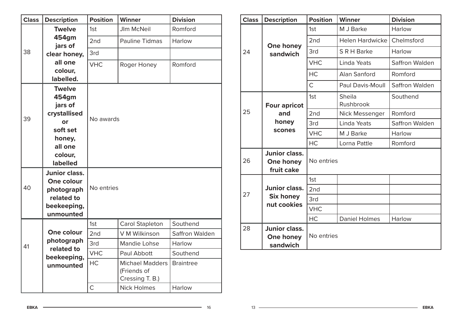| <b>Class</b> | <b>Description</b>                                                                                              | <b>Position</b> | <b>Winner</b>                                            | <b>Division</b>  |
|--------------|-----------------------------------------------------------------------------------------------------------------|-----------------|----------------------------------------------------------|------------------|
|              | <b>Twelve</b>                                                                                                   | 1st             | <b>JIm McNeil</b>                                        | Romford          |
|              | 454gm<br>jars of                                                                                                | 2nd             | <b>Pauline Tidmas</b>                                    | Harlow           |
| 38           | clear honey,                                                                                                    | 3rd             |                                                          |                  |
|              | all one<br>colour,<br>labelled.                                                                                 | <b>VHC</b>      | Roger Honey                                              | Romford          |
| 39           | <b>Twelve</b><br>454gm<br>jars of<br>crystallised<br>or<br>soft set<br>honey,<br>all one<br>colour,<br>labelled | No awards       |                                                          |                  |
| 40           | <b>Junior class.</b><br>One colour<br>photograph<br>related to<br>beekeeping,<br>unmounted                      | No entries      |                                                          |                  |
|              |                                                                                                                 | 1st             | Carol Stapleton                                          | Southend         |
|              | One colour                                                                                                      | 2 <sub>nd</sub> | V M Wilkinson                                            | Saffron Walden   |
| 41           | photograph                                                                                                      | 3rd             | Mandie Lohse                                             | Harlow           |
|              | related to<br>beekeeping,                                                                                       | <b>VHC</b>      | Paul Abbott                                              | Southend         |
|              | unmounted                                                                                                       | HC              | <b>Michael Madders</b><br>(Friends of<br>Cressing T. B.) | <b>Braintree</b> |
|              |                                                                                                                 | $\overline{C}$  | <b>Nick Holmes</b>                                       | Harlow           |

| <b>Class</b> | <b>Description</b>                              | <b>Position</b> | <b>Winner</b>              | <b>Division</b> |
|--------------|-------------------------------------------------|-----------------|----------------------------|-----------------|
| 24           | One honey<br>sandwich                           | 1st             | M J Barke                  | Harlow          |
|              |                                                 | 2nd             | Helen Hardwicke            | Chelmsford      |
|              |                                                 | 3rd             | S R H Barke                | Harlow          |
|              |                                                 | <b>VHC</b>      | Linda Yeats                | Saffron Walden  |
|              |                                                 | <b>HC</b>       | Alan Sanford               | Romford         |
|              |                                                 | C               | Paul Davis-Moull           | Saffron Walden  |
| 25           | <b>Four apricot</b><br>and<br>honey<br>scones   | 1st             | <b>Sheila</b><br>Rushbrook | Southend        |
|              |                                                 | 2 <sub>nd</sub> | Nick Messenger             | Romford         |
|              |                                                 | 3rd             | Linda Yeats                | Saffron Walden  |
|              |                                                 | <b>VHC</b>      | M J Barke                  | Harlow          |
|              |                                                 | <b>HC</b>       | Lorna Pattle               | Romford         |
| 26           | <b>Junior class.</b><br>One honey<br>fruit cake | No entries      |                            |                 |
| 27           |                                                 | 1st             |                            |                 |
|              | <b>Junior class.</b>                            | 2nd             |                            |                 |
|              | <b>Six honey</b>                                | 3rd             |                            |                 |
|              | nut cookies                                     | <b>VHC</b>      |                            |                 |
|              |                                                 | HC              | <b>Daniel Holmes</b>       | Harlow          |
| 28           | <b>Junior class.</b><br>One honey<br>sandwich   | No entries      |                            |                 |

16

**EBKA**